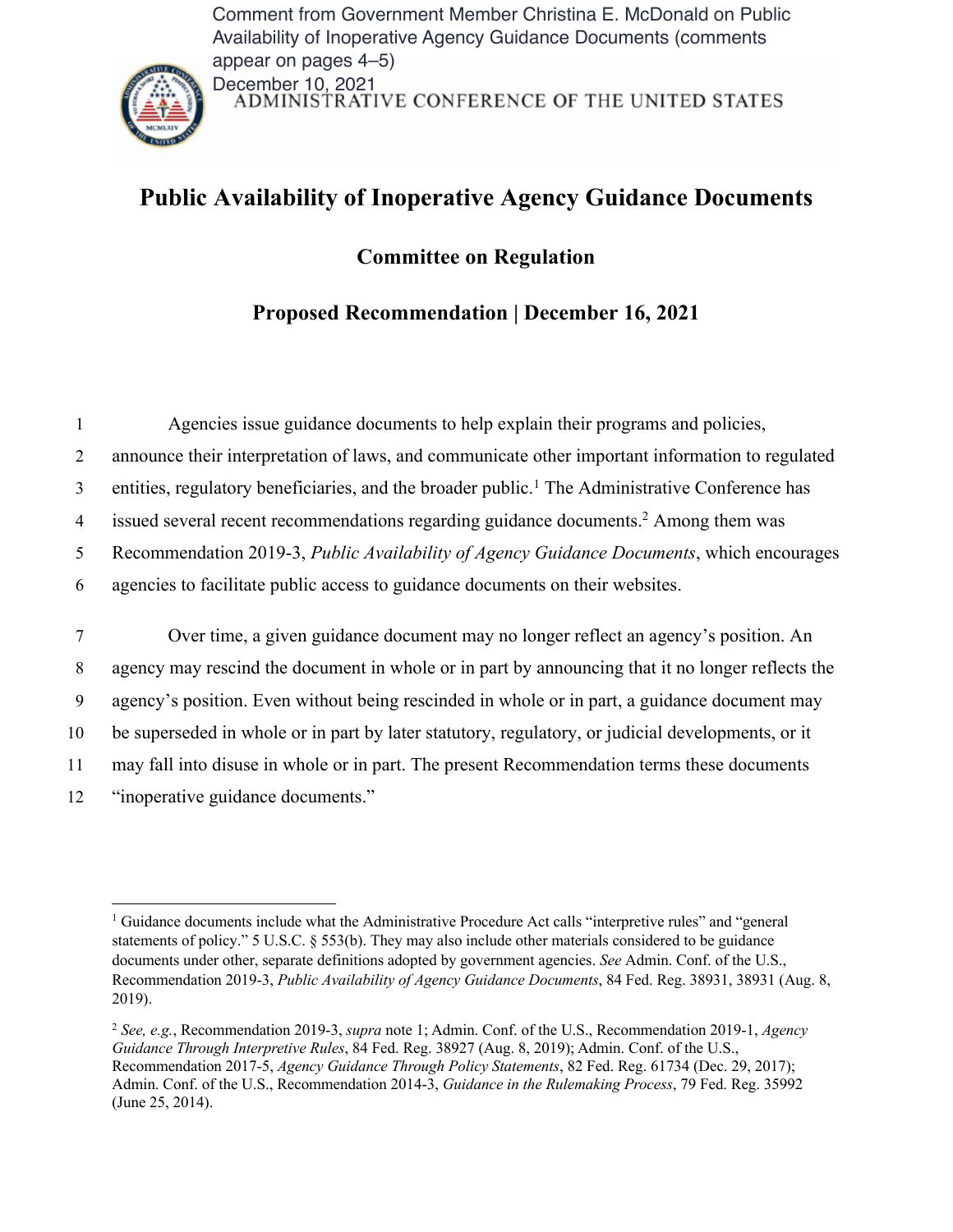Comment from Government Member Christina E. McDonald on Public Availability of Inoperative Agency Guidance Documents (comments appear on pages 4–5)



December 10, 2021<br>ADMINISTRATIVE CONFERENCE OF THE UNITED STATES

## **Public Availability of Inoperative Agency Guidance Documents**

**Committee on Regulation**

**Proposed Recommendation | December 16, 2021**

|    | Agencies issue guidance documents to help explain their programs and policies,                             |
|----|------------------------------------------------------------------------------------------------------------|
| 2  | announce their interpretation of laws, and communicate other important information to regulated            |
| 3  | entities, regulatory beneficiaries, and the broader public. <sup>1</sup> The Administrative Conference has |
| 4  | issued several recent recommendations regarding guidance documents. <sup>2</sup> Among them was            |
| 5  | Recommendation 2019-3, Public Availability of Agency Guidance Documents, which encourages                  |
| 6  | agencies to facilitate public access to guidance documents on their websites.                              |
|    |                                                                                                            |
|    |                                                                                                            |
| 7  | Over time, a given guidance document may no longer reflect an agency's position. An                        |
| 8  | agency may rescind the document in whole or in part by announcing that it no longer reflects the           |
| 9  | agency's position. Even without being rescinded in whole or in part, a guidance document may               |
| 10 | be superseded in whole or in part by later statutory, regulatory, or judicial developments, or it          |
| 11 | may fall into disuse in whole or in part. The present Recommendation terms these documents                 |

<sup>&</sup>lt;sup>1</sup> Guidance documents include what the Administrative Procedure Act calls "interpretive rules" and "general statements of policy." 5 U.S.C. § 553(b). They may also include other materials considered to be guidance documents under other, separate definitions adopted by government agencies. *See* Admin. Conf. of the U.S., Recommendation 2019-3, *Public Availability of Agency Guidance Documents*, 84 Fed. Reg. 38931, 38931 (Aug. 8, 2019).

<sup>2</sup> *See, e.g.*, Recommendation 2019-3, *supra* note 1; Admin. Conf. of the U.S., Recommendation 2019-1, *Agency Guidance Through Interpretive Rules*, 84 Fed. Reg. 38927 (Aug. 8, 2019); Admin. Conf. of the U.S., Recommendation 2017-5, *Agency Guidance Through Policy Statements*, 82 Fed. Reg. 61734 (Dec. 29, 2017); Admin. Conf. of the U.S., Recommendation 2014-3, *Guidance in the Rulemaking Process*, 79 Fed. Reg. 35992 (June 25, 2014).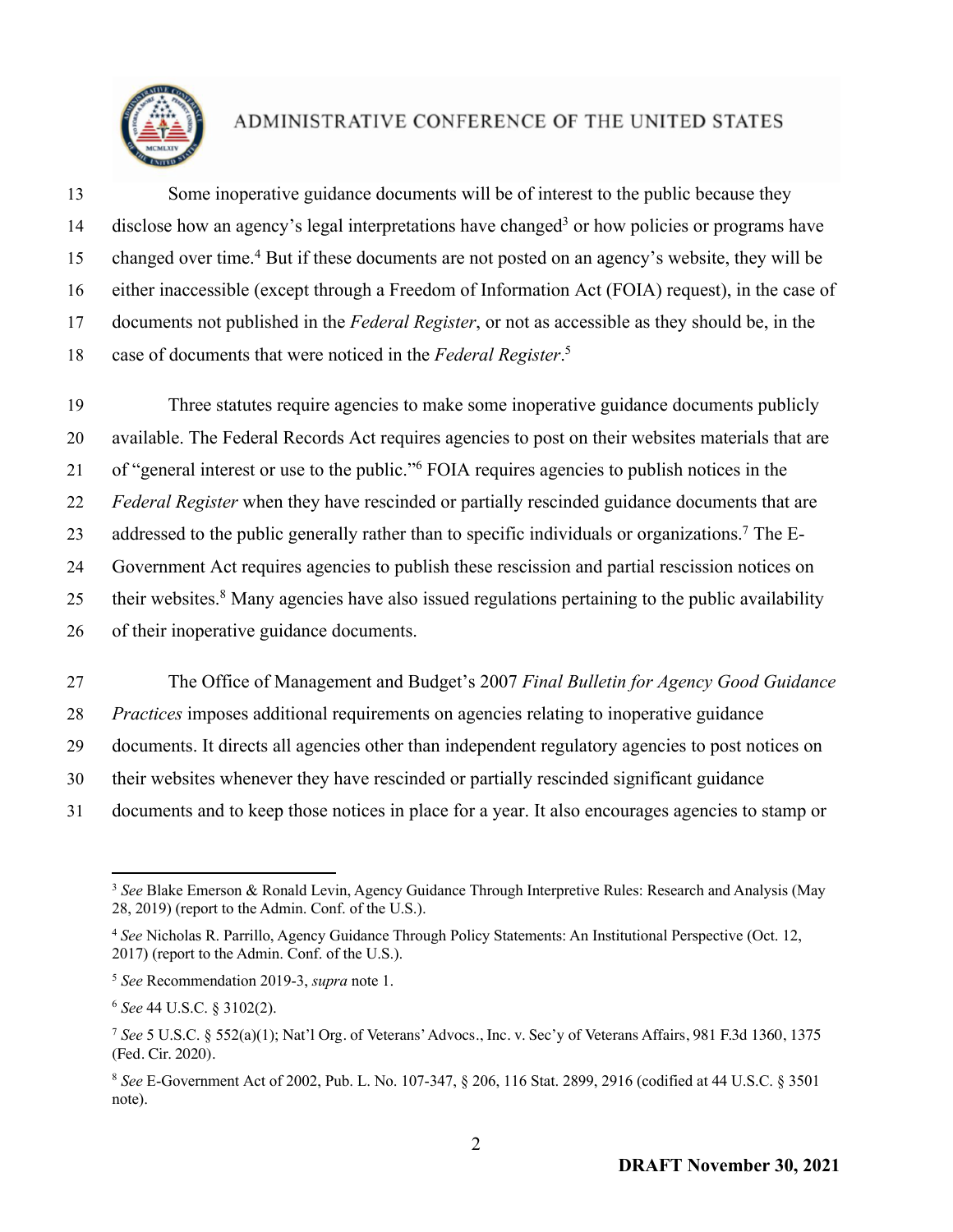

 Some inoperative guidance documents will be of interest to the public because they 14 disclose how an agency's legal interpretations have changed<sup>3</sup> or how policies or programs have 15 changed over time.<sup>4</sup> But if these documents are not posted on an agency's website, they will be either inaccessible (except through a Freedom of Information Act (FOIA) request), in the case of documents not published in the *Federal Register*, or not as accessible as they should be, in the case of documents that were noticed in the *Federal Register*. <sup>5</sup>

 Three statutes require agencies to make some inoperative guidance documents publicly available. The Federal Records Act requires agencies to post on their websites materials that are 21 of "general interest or use to the public." FOIA requires agencies to publish notices in the *Federal Register* when they have rescinded or partially rescinded guidance documents that are 23 addressed to the public generally rather than to specific individuals or organizations.<sup>7</sup> The E- Government Act requires agencies to publish these rescission and partial rescission notices on 25 their websites.<sup>8</sup> Many agencies have also issued regulations pertaining to the public availability of their inoperative guidance documents.

 The Office of Management and Budget's 2007 *Final Bulletin for Agency Good Guidance Practices* imposes additional requirements on agencies relating to inoperative guidance documents. It directs all agencies other than independent regulatory agencies to post notices on their websites whenever they have rescinded or partially rescinded significant guidance documents and to keep those notices in place for a year. It also encourages agencies to stamp or

<sup>&</sup>lt;sup>3</sup> See Blake Emerson & Ronald Levin, Agency Guidance Through Interpretive Rules: Research and Analysis (May 28, 2019) (report to the Admin. Conf. of the U.S.).

 *See* Nicholas R. Parrillo, Agency Guidance Through Policy Statements: An Institutional Perspective (Oct. 12, 2017) (report to the Admin. Conf. of the U.S.).

*See* Recommendation 2019-3, *supra* note 1.

*See* 44 U.S.C. § 3102(2).

 *See* 5 U.S.C. § 552(a)(1); Nat'l Org. of Veterans' Advocs., Inc. v. Sec'y of Veterans Affairs, 981 F.3d 1360, 1375 (Fed. Cir. 2020).

 *See* E-Government Act of 2002, Pub. L. No. 107-347, § 206, 116 Stat. 2899, 2916 (codified at 44 U.S.C. § 3501 note).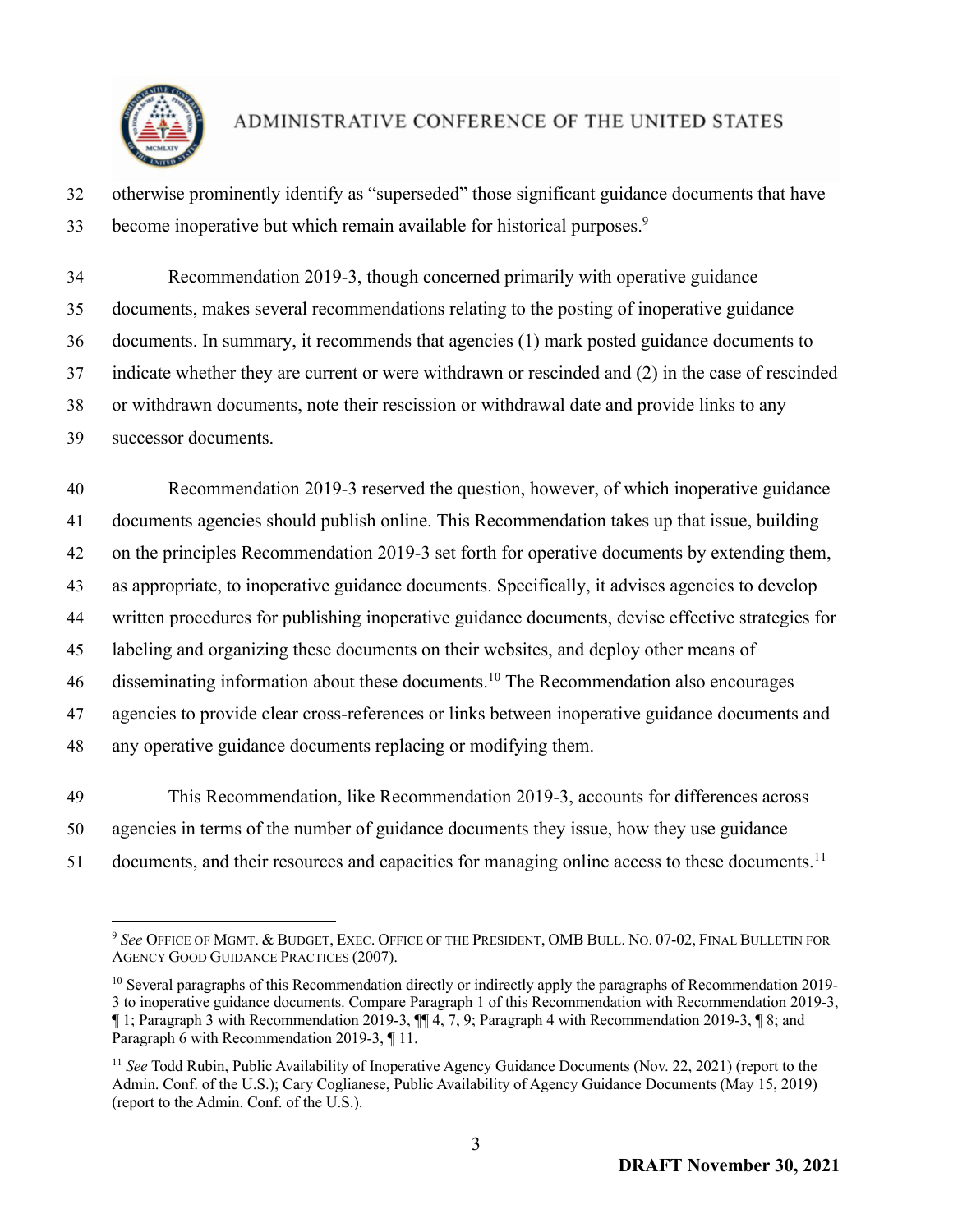

- otherwise prominently identify as "superseded" those significant guidance documents that have 33 become inoperative but which remain available for historical purposes.<sup>9</sup>
- Recommendation 2019-3, though concerned primarily with operative guidance documents, makes several recommendations relating to the posting of inoperative guidance documents. In summary, it recommends that agencies (1) mark posted guidance documents to indicate whether they are current or were withdrawn or rescinded and (2) in the case of rescinded or withdrawn documents, note their rescission or withdrawal date and provide links to any successor documents.

 Recommendation 2019-3 reserved the question, however, of which inoperative guidance documents agencies should publish online. This Recommendation takes up that issue, building on the principles Recommendation 2019-3 set forth for operative documents by extending them, as appropriate, to inoperative guidance documents. Specifically, it advises agencies to develop written procedures for publishing inoperative guidance documents, devise effective strategies for labeling and organizing these documents on their websites, and deploy other means of 46 disseminating information about these documents.<sup>10</sup> The Recommendation also encourages agencies to provide clear cross-references or links between inoperative guidance documents and any operative guidance documents replacing or modifying them.

 This Recommendation, like Recommendation 2019-3, accounts for differences across agencies in terms of the number of guidance documents they issue, how they use guidance 51 documents, and their resources and capacities for managing online access to these documents.<sup>11</sup>

 *See* OFFICE OF MGMT. & BUDGET, EXEC. OFFICE OF THE PRESIDENT, OMB BULL. NO. 07-02, FINAL BULLETIN FOR AGENCY GOOD GUIDANCE PRACTICES (2007).

<sup>&</sup>lt;sup>10</sup> Several paragraphs of this Recommendation directly or indirectly apply the paragraphs of Recommendation 2019- to inoperative guidance documents. Compare Paragraph 1 of this Recommendation with Recommendation 2019-3, ¶ 1; Paragraph 3 with Recommendation 2019-3, ¶¶ 4, 7, 9; Paragraph 4 with Recommendation 2019-3, ¶ 8; and Paragraph 6 with Recommendation 2019-3, ¶ 11.

 *See* Todd Rubin, Public Availability of Inoperative Agency Guidance Documents (Nov. 22, 2021) (report to the Admin. Conf. of the U.S.); Cary Coglianese, Public Availability of Agency Guidance Documents (May 15, 2019) (report to the Admin. Conf. of the U.S.).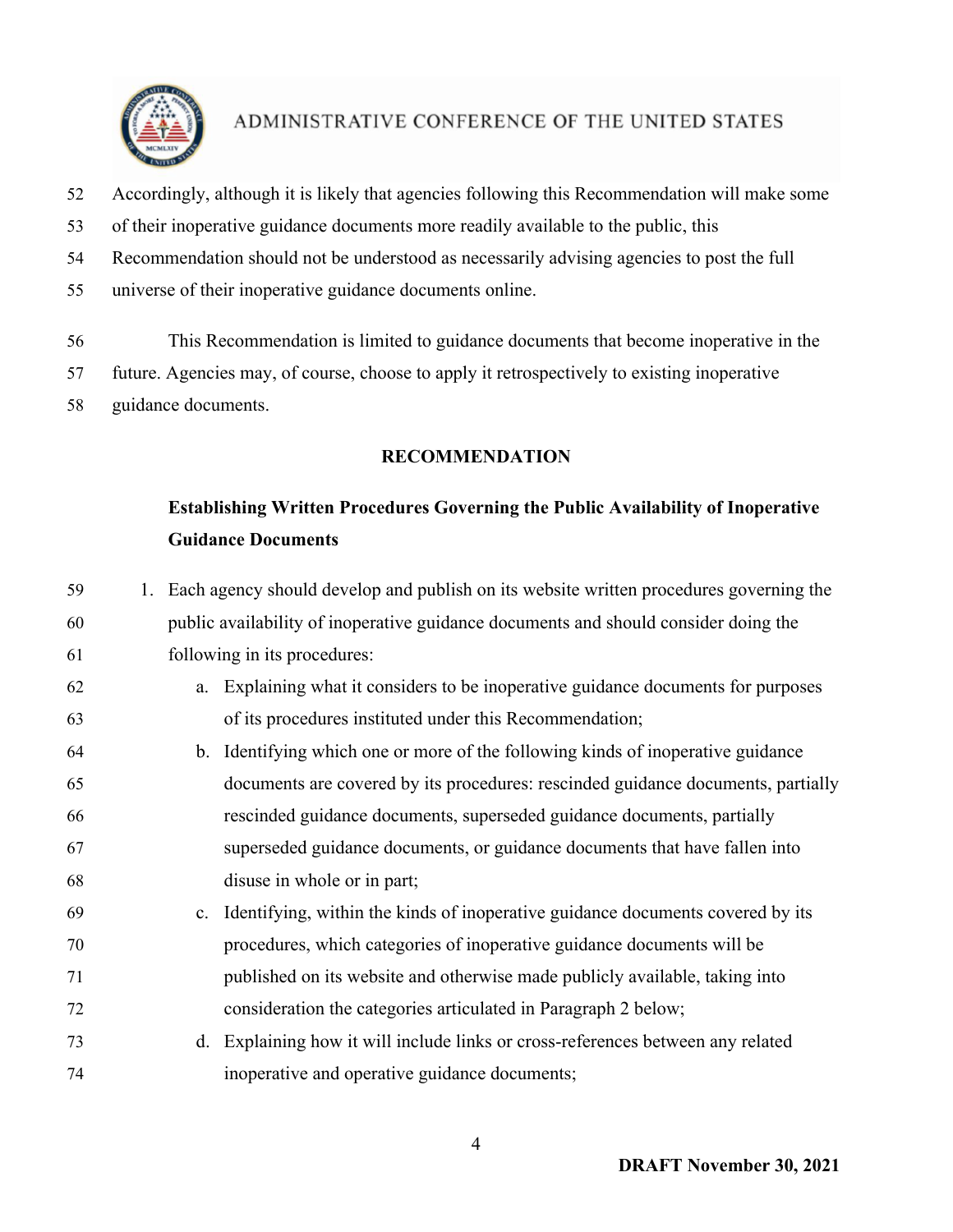

- Accordingly, although it is likely that agencies following this Recommendation will make some
- of their inoperative guidance documents more readily available to the public, this
- Recommendation should not be understood as necessarily advising agencies to post the full
- universe of their inoperative guidance documents online.
- This Recommendation is limited to guidance documents that become inoperative in the
- future. Agencies may, of course, choose to apply it retrospectively to existing inoperative
- guidance documents.

#### **RECOMMENDATION**

## **Establishing Written Procedures Governing the Public Availability of Inoperative Guidance Documents**

 1. Each agency should develop and publish on its website written procedures governing the public availability of inoperative guidance documents and should consider doing the following in its procedures: a. Explaining what it considers to be inoperative guidance documents for purposes of its procedures instituted under this Recommendation; b. Identifying which one or more of the following kinds of inoperative guidance documents are covered by its procedures: rescinded guidance documents, partially rescinded guidance documents, superseded guidance documents, partially superseded guidance documents, or guidance documents that have fallen into disuse in whole or in part; c. Identifying, within the kinds of inoperative guidance documents covered by its procedures, which categories of inoperative guidance documents will be published on its website and otherwise made publicly available, taking into consideration the categories articulated in Paragraph 2 below; d. Explaining how it will include links or cross-references between any related inoperative and operative guidance documents;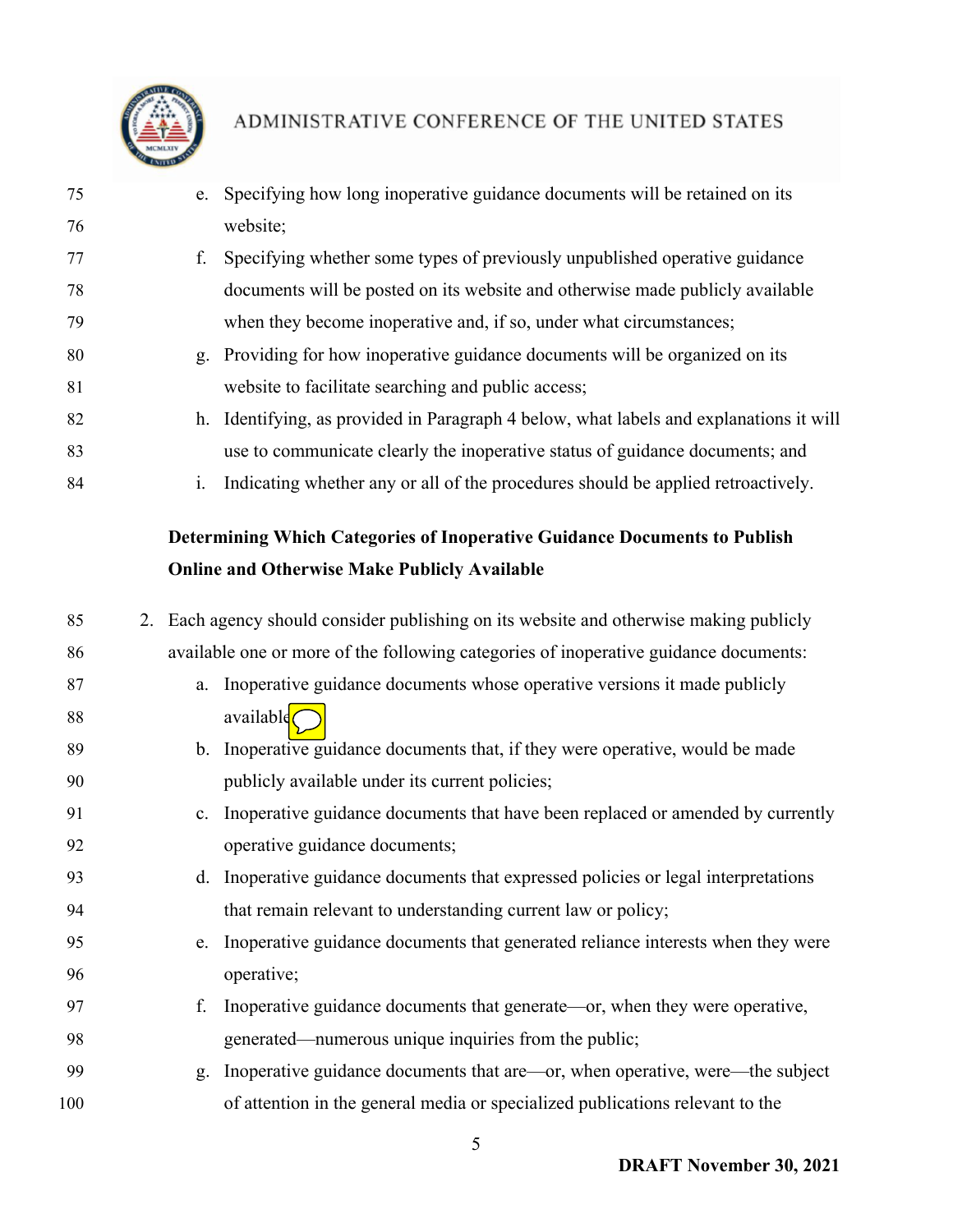

- e. Specifying how long inoperative guidance documents will be retained on its website;
- f. Specifying whether some types of previously unpublished operative guidance documents will be posted on its website and otherwise made publicly available when they become inoperative and, if so, under what circumstances;
- g. Providing for how inoperative guidance documents will be organized on its website to facilitate searching and public access;
- h. Identifying, as provided in Paragraph 4 below, what labels and explanations it will use to communicate clearly the inoperative status of guidance documents; and
- i. Indicating whether any or all of the procedures should be applied retroactively.

### **Determining Which Categories of Inoperative Guidance Documents to Publish Online and Otherwise Make Publicly Available**

 2. Each agency should consider publishing on its website and otherwise making publicly available one or more of the following categories of inoperative guidance documents: a. Inoperative guidance documents whose operative versions it made publicly 88 available $\bigcap$ 89 b. Inoperative guidance documents that, if they were operative, would be made publicly available under its current policies; c. Inoperative guidance documents that have been replaced or amended by currently operative guidance documents; d. Inoperative guidance documents that expressed policies or legal interpretations that remain relevant to understanding current law or policy; e. Inoperative guidance documents that generated reliance interests when they were operative; f. Inoperative guidance documents that generate—or, when they were operative, generated—numerous unique inquiries from the public; g. Inoperative guidance documents that are—or, when operative, were—the subject of attention in the general media or specialized publications relevant to the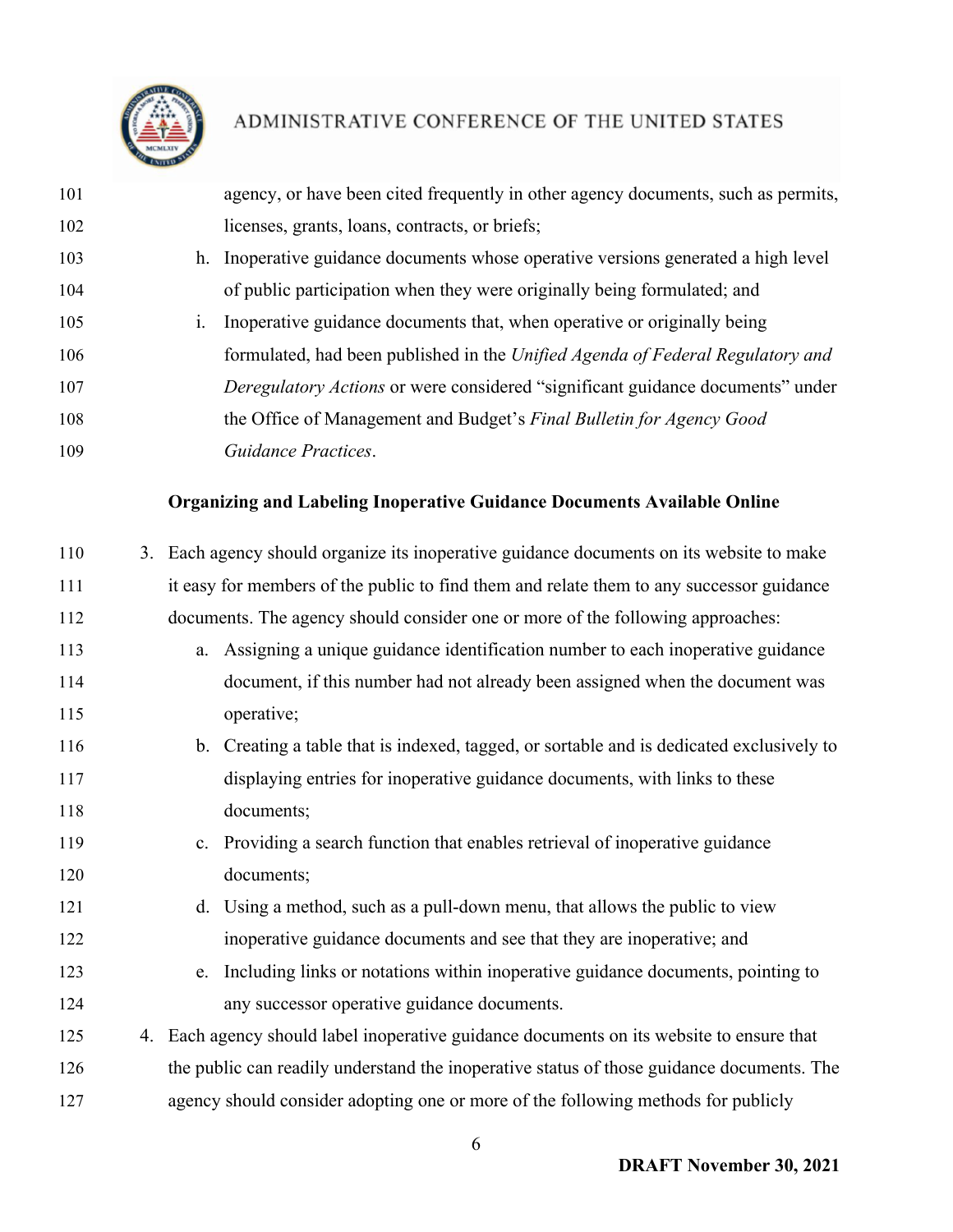

| 101 |    | agency, or have been cited frequently in other agency documents, such as permits, |
|-----|----|-----------------------------------------------------------------------------------|
| 102 |    | licenses, grants, loans, contracts, or briefs;                                    |
| 103 |    | h. Inoperative guidance documents whose operative versions generated a high level |
| 104 |    | of public participation when they were originally being formulated; and           |
| 105 | 1. | Inoperative guidance documents that, when operative or originally being           |
| 106 |    | formulated, had been published in the Unified Agenda of Federal Regulatory and    |
| 107 |    | Deregulatory Actions or were considered "significant guidance documents" under    |
| 108 |    | the Office of Management and Budget's Final Bulletin for Agency Good              |
| 109 |    | Guidance Practices.                                                               |

### **Organizing and Labeling Inoperative Guidance Documents Available Online**

| 110 | 3. Each agency should organize its inoperative guidance documents on its website to make  |
|-----|-------------------------------------------------------------------------------------------|
| 111 | it easy for members of the public to find them and relate them to any successor guidance  |
| 112 | documents. The agency should consider one or more of the following approaches:            |
| 113 | a. Assigning a unique guidance identification number to each inoperative guidance         |
| 114 | document, if this number had not already been assigned when the document was              |
| 115 | operative;                                                                                |
| 116 | b. Creating a table that is indexed, tagged, or sortable and is dedicated exclusively to  |
| 117 | displaying entries for inoperative guidance documents, with links to these                |
| 118 | documents;                                                                                |
| 119 | c. Providing a search function that enables retrieval of inoperative guidance             |
| 120 | documents;                                                                                |
| 121 | d. Using a method, such as a pull-down menu, that allows the public to view               |
| 122 | inoperative guidance documents and see that they are inoperative; and                     |
| 123 | Including links or notations within inoperative guidance documents, pointing to<br>e.     |
| 124 | any successor operative guidance documents.                                               |
| 125 | 4. Each agency should label inoperative guidance documents on its website to ensure that  |
| 126 | the public can readily understand the inoperative status of those guidance documents. The |
| 127 | agency should consider adopting one or more of the following methods for publicly         |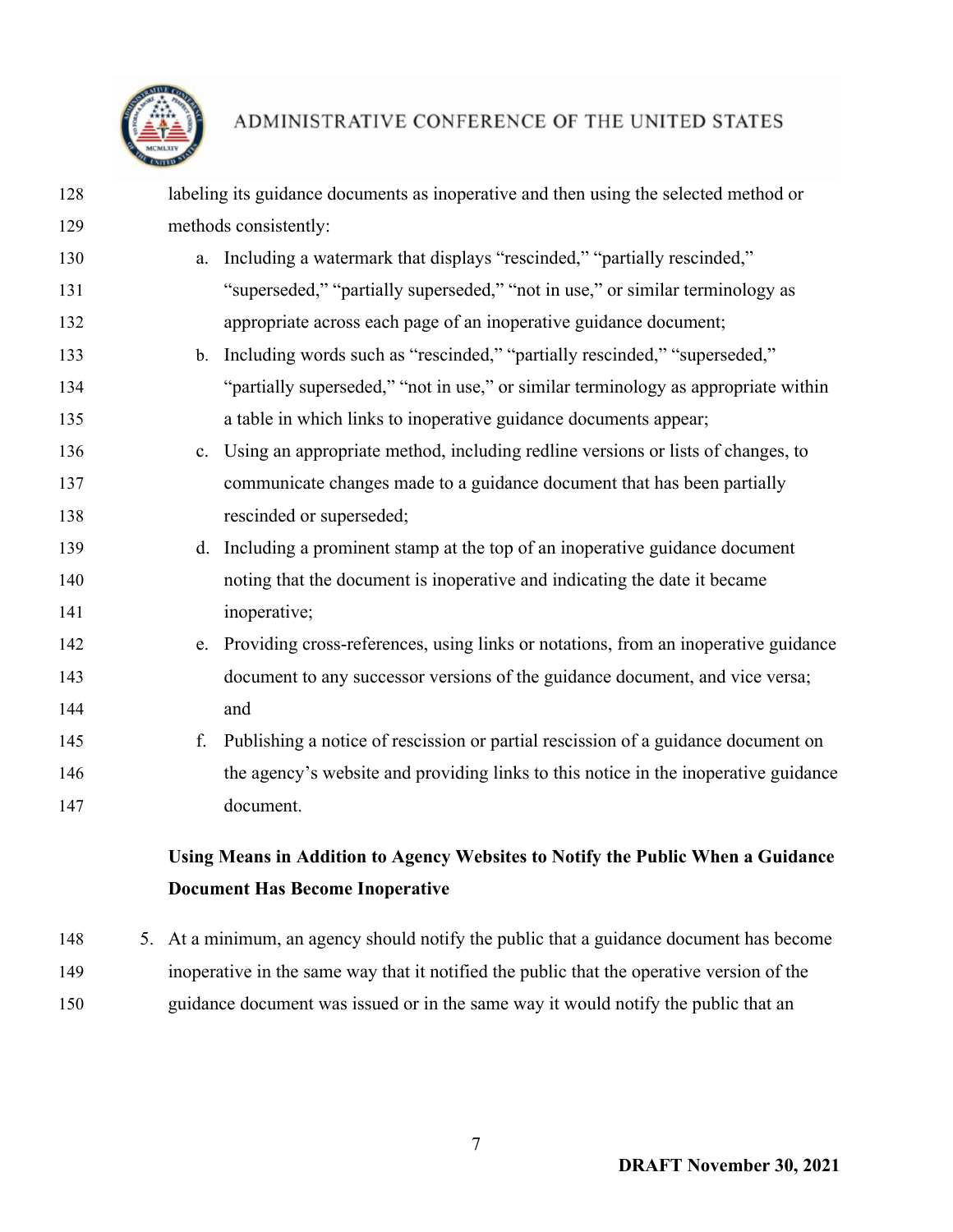

| 128 | labeling its guidance documents as inoperative and then using the selected method or |                                                                                                       |  |
|-----|--------------------------------------------------------------------------------------|-------------------------------------------------------------------------------------------------------|--|
| 129 | methods consistently:                                                                |                                                                                                       |  |
| 130 |                                                                                      | a. Including a watermark that displays "rescinded," "partially rescinded,"                            |  |
| 131 |                                                                                      | "superseded," "partially superseded," "not in use," or similar terminology as                         |  |
| 132 |                                                                                      | appropriate across each page of an inoperative guidance document;                                     |  |
| 133 |                                                                                      | b. Including words such as "rescinded," "partially rescinded," "superseded,"                          |  |
| 134 |                                                                                      | "partially superseded," "not in use," or similar terminology as appropriate within                    |  |
| 135 |                                                                                      | a table in which links to inoperative guidance documents appear;                                      |  |
| 136 |                                                                                      | c. Using an appropriate method, including redline versions or lists of changes, to                    |  |
| 137 |                                                                                      | communicate changes made to a guidance document that has been partially                               |  |
| 138 | rescinded or superseded;                                                             |                                                                                                       |  |
| 139 |                                                                                      | d. Including a prominent stamp at the top of an inoperative guidance document                         |  |
| 140 |                                                                                      | noting that the document is inoperative and indicating the date it became                             |  |
| 141 | inoperative;                                                                         |                                                                                                       |  |
| 142 |                                                                                      | e. Providing cross-references, using links or notations, from an inoperative guidance                 |  |
| 143 |                                                                                      | document to any successor versions of the guidance document, and vice versa;                          |  |
| 144 | and                                                                                  |                                                                                                       |  |
| 145 | f.                                                                                   | Publishing a notice of rescission or partial rescission of a guidance document on                     |  |
| 146 |                                                                                      | the agency's website and providing links to this notice in the inoperative guidance                   |  |
| 147 | document.                                                                            |                                                                                                       |  |
|     |                                                                                      | Using Means in Addition to Agency Websites to Notify the Public When a Guidance                       |  |
|     | <b>Document Has Become Inoperative</b>                                               |                                                                                                       |  |
| 110 |                                                                                      | $\zeta$ $A_{\pm}$ a minimum on aggregate should notify the public that a quidance decument has become |  |

 5. At a minimum, an agency should notify the public that a guidance document has become inoperative in the same way that it notified the public that the operative version of the guidance document was issued or in the same way it would notify the public that an